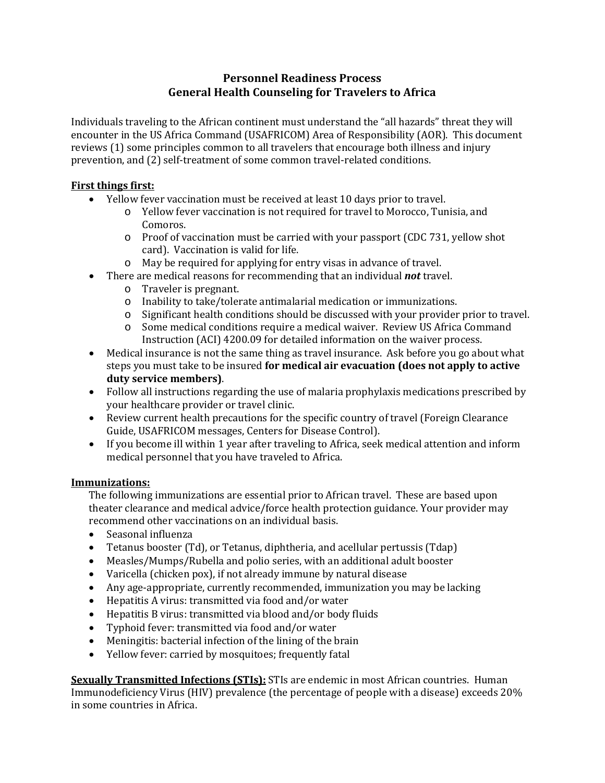# **Personnel Readiness Process General Health Counseling for Travelers to Africa**

Individuals traveling to the African continent must understand the "all hazards" threat they will encounter in the US Africa Command (USAFRICOM) Area of Responsibility (AOR). This document reviews (1) some principles common to all travelers that encourage both illness and injury prevention, and (2) self-treatment of some common travel-related conditions.

## **First things first:**

- Yellow fever vaccination must be received at least 10 days prior to travel.
	- o Yellow fever vaccination is not required for travel to Morocco, Tunisia, and Comoros.
	- o Proof of vaccination must be carried with your passport (CDC 731, yellow shot card). Vaccination is valid for life.
	- o May be required for applying for entry visas in advance of travel.
- There are medical reasons for recommending that an individual *not* travel.
	- o Traveler is pregnant.
	- o Inability to take/tolerate antimalarial medication or immunizations.
	- o Significant health conditions should be discussed with your provider prior to travel.
	- o Some medical conditions require a medical waiver. Review US Africa Command Instruction (ACI) 4200.09 for detailed information on the waiver process.
- Medical insurance is not the same thing as travel insurance. Ask before you go about what steps you must take to be insured **for medical air evacuation (does not apply to active duty service members)**.
- Follow all instructions regarding the use of malaria prophylaxis medications prescribed by your healthcare provider or travel clinic.
- Review current health precautions for the specific country of travel (Foreign Clearance Guide, USAFRICOM messages, Centers for Disease Control).
- If you become ill within 1 year after traveling to Africa, seek medical attention and inform medical personnel that you have traveled to Africa.

### **Immunizations:**

The following immunizations are essential prior to African travel. These are based upon theater clearance and medical advice/force health protection guidance. Your provider may recommend other vaccinations on an individual basis.<br>• Seasonal influenza

- Seasonal influenza
- Tetanus booster (Td), or Tetanus, diphtheria, and acellular pertussis (Tdap)<br>• Measles/Mumps/Rubella and polio series, with an additional adult booster
- Measles/Mumps/Rubella and polio series, with an additional adult booster
- Varicella (chicken pox), if not already immune by natural disease
- Any age-appropriate, currently recommended, immunization you may be lacking
- Hepatitis A virus: transmitted via food and/or water
- Hepatitis B virus: transmitted via blood and/or body fluids
- Typhoid fever: transmitted via food and/or water
- Meningitis: bacterial infection of the lining of the brain
- Yellow fever: carried by mosquitoes; frequently fatal

**Sexually Transmitted Infections (STIs):** STIs are endemic in most African countries. Human Immunodeficiency Virus (HIV) prevalence (the percentage of people with a disease) exceeds 20% in some countries in Africa.